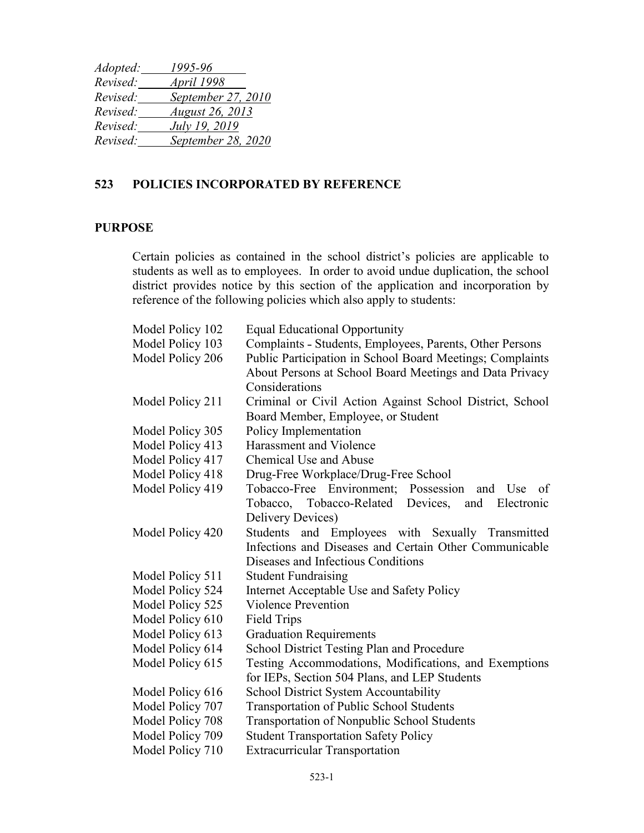| September 27, 2010     |
|------------------------|
| <b>August 26, 2013</b> |
| July 19, 2019          |
| September 28, 2020     |
|                        |

## **523 POLICIES INCORPORATED BY REFERENCE**

## **PURPOSE**

Certain policies as contained in the school district's policies are applicable to students as well as to employees. In order to avoid undue duplication, the school district provides notice by this section of the application and incorporation by reference of the following policies which also apply to students:

| Model Policy 102 | <b>Equal Educational Opportunity</b>                      |
|------------------|-----------------------------------------------------------|
| Model Policy 103 | Complaints - Students, Employees, Parents, Other Persons  |
| Model Policy 206 | Public Participation in School Board Meetings; Complaints |
|                  | About Persons at School Board Meetings and Data Privacy   |
|                  | Considerations                                            |
| Model Policy 211 | Criminal or Civil Action Against School District, School  |
|                  | Board Member, Employee, or Student                        |
| Model Policy 305 | Policy Implementation                                     |
| Model Policy 413 | Harassment and Violence                                   |
| Model Policy 417 | Chemical Use and Abuse                                    |
| Model Policy 418 | Drug-Free Workplace/Drug-Free School                      |
| Model Policy 419 | Tobacco-Free Environment; Possession<br>and Use<br>of     |
|                  | Tobacco, Tobacco-Related Devices,<br>Electronic<br>and    |
|                  | Delivery Devices)                                         |
| Model Policy 420 | and Employees with Sexually Transmitted<br>Students       |
|                  | Infections and Diseases and Certain Other Communicable    |
|                  | Diseases and Infectious Conditions                        |
| Model Policy 511 | <b>Student Fundraising</b>                                |
| Model Policy 524 | Internet Acceptable Use and Safety Policy                 |
| Model Policy 525 | <b>Violence Prevention</b>                                |
| Model Policy 610 | <b>Field Trips</b>                                        |
| Model Policy 613 | <b>Graduation Requirements</b>                            |
| Model Policy 614 | <b>School District Testing Plan and Procedure</b>         |
| Model Policy 615 | Testing Accommodations, Modifications, and Exemptions     |
|                  | for IEPs, Section 504 Plans, and LEP Students             |
| Model Policy 616 | <b>School District System Accountability</b>              |
| Model Policy 707 | Transportation of Public School Students                  |
| Model Policy 708 | Transportation of Nonpublic School Students               |
| Model Policy 709 | <b>Student Transportation Safety Policy</b>               |
| Model Policy 710 | <b>Extracurricular Transportation</b>                     |